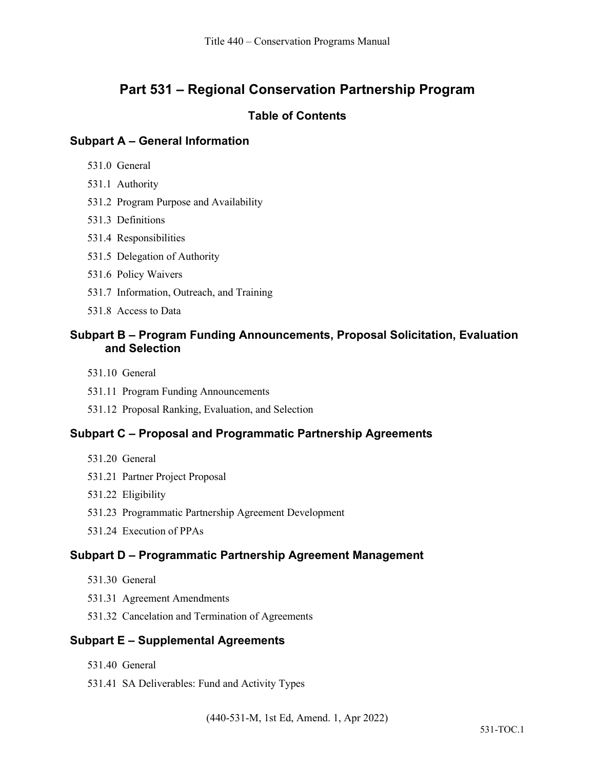# **Part 531 – Regional Conservation Partnership Program**

### **Table of Contents**

# **Subpart A – General Information**

- 531.0 General
- 531.1 Authority
- 531.2 Program Purpose and Availability
- 531.3 Definitions
- 531.4 Responsibilities
- 531.5 Delegation of Authority
- 531.6 Policy Waivers
- 531.7 Information, Outreach, and Training
- 531.8 Access to Data

# **Subpart B – Program Funding Announcements, Proposal Solicitation, Evaluation and Selection**

- 531.10 General
- 531.11 Program Funding Announcements
- 531.12 Proposal Ranking, Evaluation, and Selection

### **Subpart C – Proposal and Programmatic Partnership Agreements**

- 531.20 General
- 531.21 Partner Project Proposal
- 531.22 Eligibility
- 531.23 Programmatic Partnership Agreement Development
- 531.24 Execution of PPAs

### **Subpart D – Programmatic Partnership Agreement Management**

- 531.30 General
- 531.31 Agreement Amendments
- 531.32 Cancelation and Termination of Agreements

### **Subpart E – Supplemental Agreements**

- 531.40 General
- 531.41 SA Deliverables: Fund and Activity Types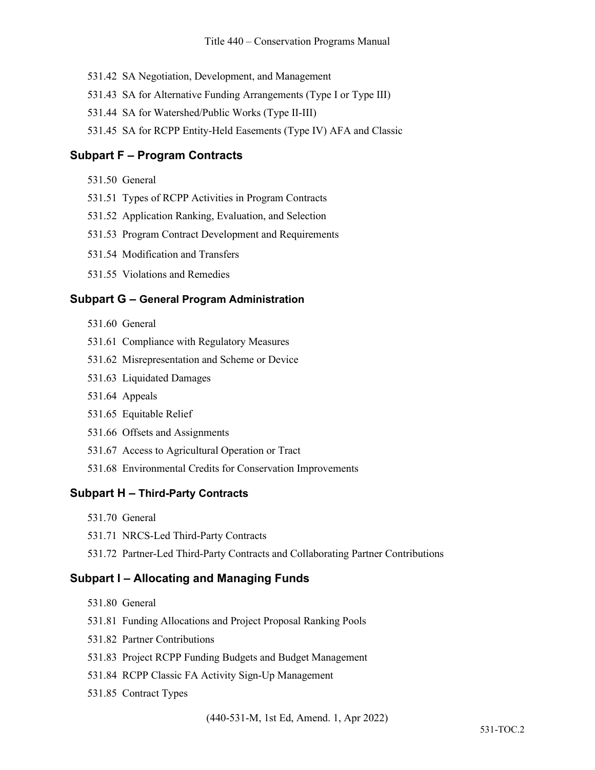- 531.42 SA Negotiation, Development, and Management
- 531.43 SA for Alternative Funding Arrangements (Type I or Type III)
- 531.44 SA for Watershed/Public Works (Type II-III)
- 531.45 SA for RCPP Entity-Held Easements (Type IV) AFA and Classic

### **Subpart F – Program Contracts**

- 531.50 General
- 531.51 Types of RCPP Activities in Program Contracts
- 531.52 Application Ranking, Evaluation, and Selection
- 531.53 Program Contract Development and Requirements
- 531.54 Modification and Transfers
- 531.55 Violations and Remedies

### **Subpart G – General Program Administration**

- 531.60 General
- 531.61 Compliance with Regulatory Measures
- 531.62 Misrepresentation and Scheme or Device
- 531.63 Liquidated Damages
- 531.64 Appeals
- 531.65 Equitable Relief
- 531.66 Offsets and Assignments
- 531.67 Access to Agricultural Operation or Tract
- 531.68 Environmental Credits for Conservation Improvements

#### **Subpart H – Third-Party Contracts**

- 531.70 General
- 531.71 NRCS-Led Third-Party Contracts
- 531.72 Partner-Led Third-Party Contracts and Collaborating Partner Contributions

### **Subpart I – Allocating and Managing Funds**

- 531.80 General
- 531.81 Funding Allocations and Project Proposal Ranking Pools
- 531.82 Partner Contributions
- 531.83 Project RCPP Funding Budgets and Budget Management
- 531.84 RCPP Classic FA Activity Sign-Up Management
- 531.85 Contract Types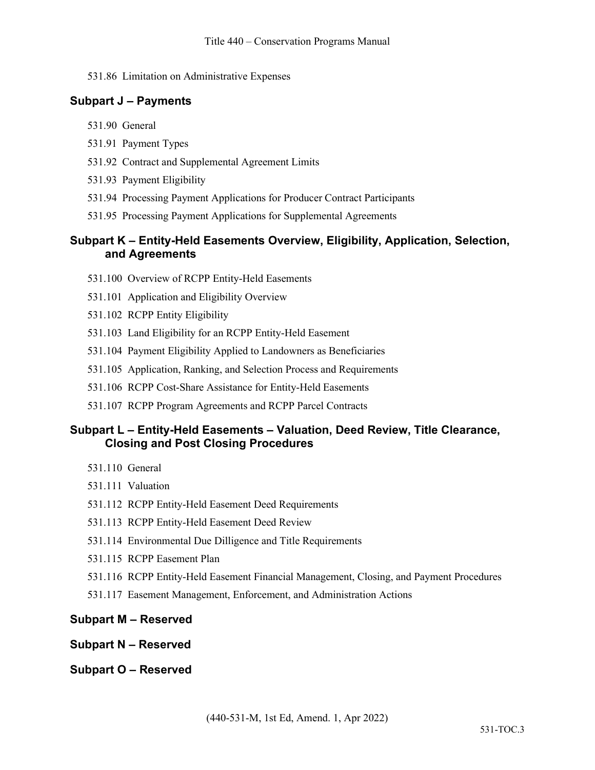### 531.86 Limitation on Administrative Expenses

# **Subpart J – Payments**

- 531.90 General
- 531.91 Payment Types
- 531.92 Contract and Supplemental Agreement Limits
- 531.93 Payment Eligibility
- 531.94 Processing Payment Applications for Producer Contract Participants
- 531.95 Processing Payment Applications for Supplemental Agreements

### **Subpart K – Entity-Held Easements Overview, Eligibility, Application, Selection, and Agreements**

- 531.100 Overview of RCPP Entity-Held Easements
- 531.101 Application and Eligibility Overview
- 531.102 RCPP Entity Eligibility
- 531.103 Land Eligibility for an RCPP Entity-Held Easement
- 531.104 Payment Eligibility Applied to Landowners as Beneficiaries
- 531.105 Application, Ranking, and Selection Process and Requirements
- 531.106 RCPP Cost-Share Assistance for Entity-Held Easements
- 531.107 RCPP Program Agreements and RCPP Parcel Contracts

# **Subpart L – Entity-Held Easements – Valuation, Deed Review, Title Clearance, Closing and Post Closing Procedures**

- 531.110 General
- 531.111 Valuation
- 531.112 RCPP Entity-Held Easement Deed Requirements
- 531.113 RCPP Entity-Held Easement Deed Review
- 531.114 Environmental Due Dilligence and Title Requirements
- 531.115 RCPP Easement Plan
- 531.116 RCPP Entity-Held Easement Financial Management, Closing, and Payment Procedures
- 531.117 Easement Management, Enforcement, and Administration Actions

# **Subpart M – Reserved**

- **Subpart N – Reserved**
- **Subpart O – Reserved**